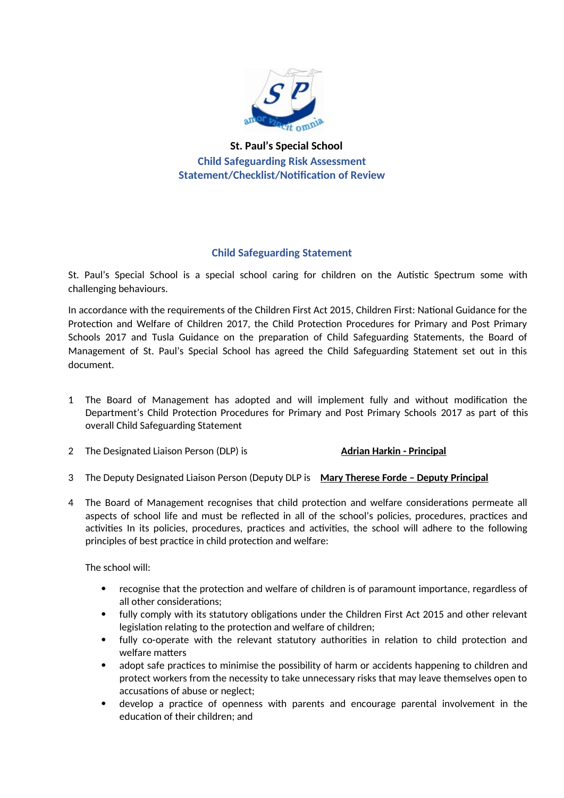

**St. Paul's Special School Child Safeguarding Risk Assessment Statement/Checklist/Notification of Review**

## **Child Safeguarding Statement**

St. Paul's Special School is a special school caring for children on the Autistic Spectrum some with challenging behaviours.

In accordance with the requirements of the Children First Act 2015, Children First: National Guidance for the Protection and Welfare of Children 2017, the Child Protection Procedures for Primary and Post Primary Schools 2017 and Tusla Guidance on the preparation of Child Safeguarding Statements, the Board of Management of St. Paul's Special School has agreed the Child Safeguarding Statement set out in this document.

- 1 The Board of Management has adopted and will implement fully and without modification the Department's Child Protection Procedures for Primary and Post Primary Schools 2017 as part of this overall Child Safeguarding Statement
- 2 The Designated Liaison Person (DLP) is **Adrian Harkin Principal**
- 3 The Deputy Designated Liaison Person (Deputy DLP is **Mary Therese Forde Deputy Principal**
- 4 The Board of Management recognises that child protection and welfare considerations permeate all aspects of school life and must be reflected in all of the school's policies, procedures, practices and activities In its policies, procedures, practices and activities, the school will adhere to the following principles of best practice in child protection and welfare:

The school will:

- recognise that the protection and welfare of children is of paramount importance, regardless of all other considerations;
- fully comply with its statutory obligations under the Children First Act 2015 and other relevant legislation relating to the protection and welfare of children;
- fully co-operate with the relevant statutory authorities in relation to child protection and welfare matters
- adopt safe practices to minimise the possibility of harm or accidents happening to children and protect workers from the necessity to take unnecessary risks that may leave themselves open to accusations of abuse or neglect;
- develop a practice of openness with parents and encourage parental involvement in the education of their children; and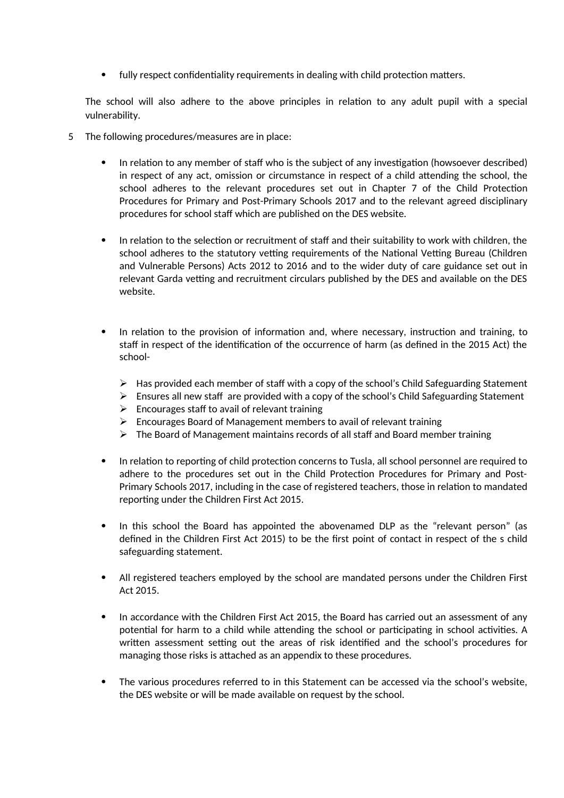fully respect confidentiality requirements in dealing with child protection matters.

The school will also adhere to the above principles in relation to any adult pupil with a special vulnerability.

- 5 The following procedures/measures are in place:
	- In relation to any member of staff who is the subject of any investigation (howsoever described) in respect of any act, omission or circumstance in respect of a child attending the school, the school adheres to the relevant procedures set out in Chapter 7 of the Child Protection Procedures for Primary and Post-Primary Schools 2017 and to the relevant agreed disciplinary procedures for school staff which are published on the DES website.
	- In relation to the selection or recruitment of staff and their suitability to work with children, the school adheres to the statutory vetting requirements of the National Vetting Bureau (Children and Vulnerable Persons) Acts 2012 to 2016 and to the wider duty of care guidance set out in relevant Garda vetting and recruitment circulars published by the DES and available on the DES website.
	- In relation to the provision of information and, where necessary, instruction and training, to staff in respect of the identification of the occurrence of harm (as defined in the 2015 Act) the school-
		- $\triangleright$  Has provided each member of staff with a copy of the school's Child Safeguarding Statement
		- $\triangleright$  Ensures all new staff are provided with a copy of the school's Child Safeguarding Statement
		- $\triangleright$  Encourages staff to avail of relevant training
		- $\triangleright$  Encourages Board of Management members to avail of relevant training
		- $\triangleright$  The Board of Management maintains records of all staff and Board member training
	- In relation to reporting of child protection concerns to Tusla, all school personnel are required to adhere to the procedures set out in the Child Protection Procedures for Primary and Post-Primary Schools 2017, including in the case of registered teachers, those in relation to mandated reporting under the Children First Act 2015.
	- In this school the Board has appointed the abovenamed DLP as the "relevant person" (as defined in the Children First Act 2015) to be the first point of contact in respect of the s child safeguarding statement.
	- All registered teachers employed by the school are mandated persons under the Children First Act 2015.
	- In accordance with the Children First Act 2015, the Board has carried out an assessment of any potential for harm to a child while attending the school or participating in school activities. A written assessment setting out the areas of risk identified and the school's procedures for managing those risks is attached as an appendix to these procedures.
	- The various procedures referred to in this Statement can be accessed via the school's website, the DES website or will be made available on request by the school.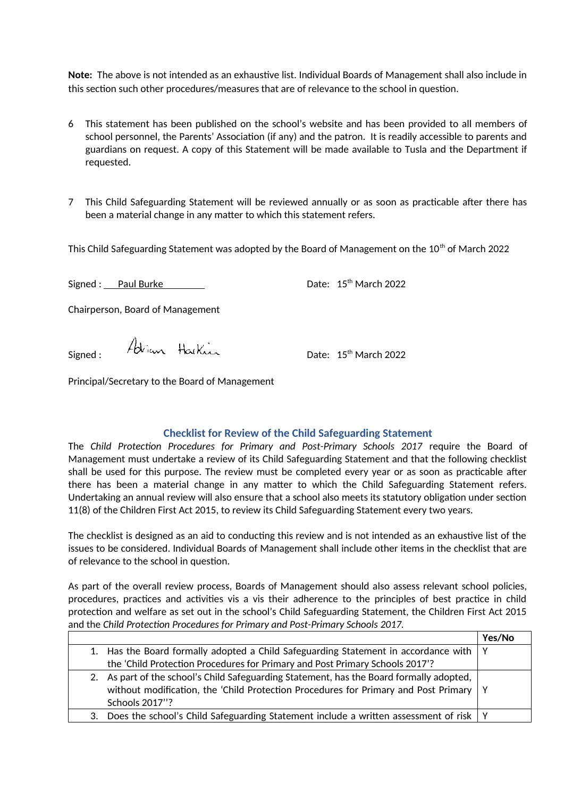**Note:** The above is not intended as an exhaustive list. Individual Boards of Management shall also include in this section such other procedures/measures that are of relevance to the school in question.

- 6 This statement has been published on the school's website and has been provided to all members of school personnel, the Parents' Association (if any) and the patron. It is readily accessible to parents and guardians on request. A copy of this Statement will be made available to Tusla and the Department if requested.
- 7 This Child Safeguarding Statement will be reviewed annually or as soon as practicable after there has been a material change in any matter to which this statement refers.

This Child Safeguarding Statement was adopted by the Board of Management on the 10<sup>th</sup> of March 2022

Signed : Paul Burke Date: 15<sup>th</sup> March 2022

Chairperson, Board of Management

 $\mathcal{A}_{\mathcal{B}_{\text{sum}}}$   $\mathcal{A}_{\mathcal{B}_{\text{sum}}}$   $\mathcal{A}_{\text{sum}}$   $\mathcal{A}_{\text{sum}}$   $\mathcal{A}_{\text{sum}}$   $\mathcal{A}_{\text{sum}}$   $\mathcal{A}_{\text{sum}}$   $\mathcal{A}_{\text{sum}}$   $\mathcal{A}_{\text{sum}}$   $\mathcal{A}_{\text{sum}}$   $\mathcal{A}_{\text{sum}}$   $\mathcal{A}_{\text{sum}}$   $\mathcal{A}_{\text{sum}}$   $\mathcal{A}_{\text{sum}}$   $\mathcal{A}_{\text{sum}}$ 

Principal/Secretary to the Board of Management

## **Checklist for Review of the Child Safeguarding Statement**

The *Child Protection Procedures for Primary and Post-Primary Schools 2017* require the Board of Management must undertake a review of its Child Safeguarding Statement and that the following checklist shall be used for this purpose. The review must be completed every year or as soon as practicable after there has been a material change in any matter to which the Child Safeguarding Statement refers. Undertaking an annual review will also ensure that a school also meets its statutory obligation under section 11(8) of the Children First Act 2015, to review its Child Safeguarding Statement every two years.

The checklist is designed as an aid to conducting this review and is not intended as an exhaustive list of the issues to be considered. Individual Boards of Management shall include other items in the checklist that are of relevance to the school in question.

As part of the overall review process, Boards of Management should also assess relevant school policies, procedures, practices and activities vis a vis their adherence to the principles of best practice in child protection and welfare as set out in the school's Child Safeguarding Statement, the Children First Act 2015 and the *Child Protection Procedures for Primary and Post-Primary Schools 2017.*

|    |                                                                                               | Yes/No |
|----|-----------------------------------------------------------------------------------------------|--------|
|    | 1. Has the Board formally adopted a Child Safeguarding Statement in accordance with           |        |
|    | the 'Child Protection Procedures for Primary and Post Primary Schools 2017'?                  |        |
|    | 2. As part of the school's Child Safeguarding Statement, has the Board formally adopted,      |        |
|    | without modification, the 'Child Protection Procedures for Primary and Post Primary $\vert$ Y |        |
|    | Schools 2017"?                                                                                |        |
| 3. | Does the school's Child Safeguarding Statement include a written assessment of risk           |        |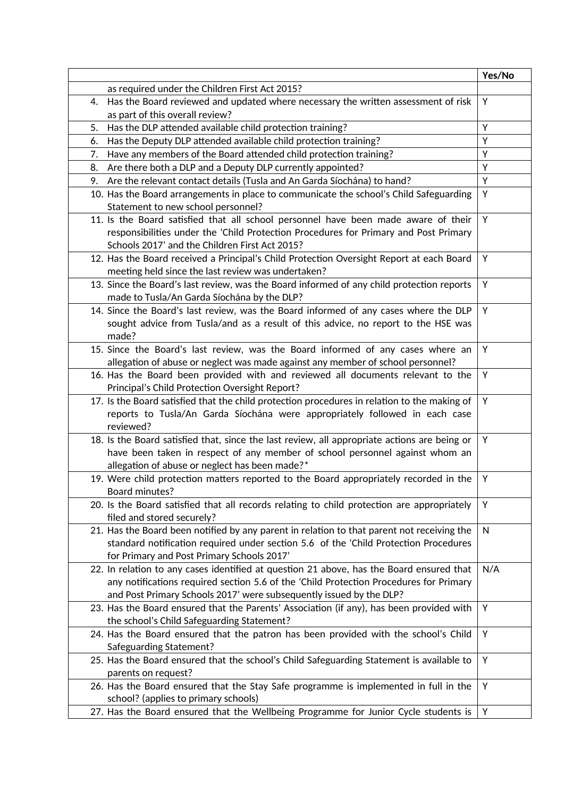|    |                                                                                                                                                                                                                                                           | Yes/No       |
|----|-----------------------------------------------------------------------------------------------------------------------------------------------------------------------------------------------------------------------------------------------------------|--------------|
|    | as required under the Children First Act 2015?                                                                                                                                                                                                            |              |
| 4. | Has the Board reviewed and updated where necessary the written assessment of risk                                                                                                                                                                         | Y            |
|    | as part of this overall review?                                                                                                                                                                                                                           |              |
| 5. | Has the DLP attended available child protection training?                                                                                                                                                                                                 | Y            |
| 6. | Has the Deputy DLP attended available child protection training?                                                                                                                                                                                          | Y            |
| 7. | Have any members of the Board attended child protection training?                                                                                                                                                                                         | Y            |
| 8. | Are there both a DLP and a Deputy DLP currently appointed?                                                                                                                                                                                                | Y            |
| 9. | Are the relevant contact details (Tusla and An Garda Síochána) to hand?                                                                                                                                                                                   | Y            |
|    | 10. Has the Board arrangements in place to communicate the school's Child Safeguarding<br>Statement to new school personnel?                                                                                                                              | Y            |
|    | 11. Is the Board satisfied that all school personnel have been made aware of their<br>responsibilities under the 'Child Protection Procedures for Primary and Post Primary<br>Schools 2017' and the Children First Act 2015?                              | Υ            |
|    | 12. Has the Board received a Principal's Child Protection Oversight Report at each Board<br>meeting held since the last review was undertaken?                                                                                                            | Y            |
|    | 13. Since the Board's last review, was the Board informed of any child protection reports<br>made to Tusla/An Garda Síochána by the DLP?                                                                                                                  | Y            |
|    | 14. Since the Board's last review, was the Board informed of any cases where the DLP<br>sought advice from Tusla/and as a result of this advice, no report to the HSE was<br>made?                                                                        | Y            |
|    | 15. Since the Board's last review, was the Board informed of any cases where an<br>allegation of abuse or neglect was made against any member of school personnel?                                                                                        | Y            |
|    | 16. Has the Board been provided with and reviewed all documents relevant to the<br>Principal's Child Protection Oversight Report?                                                                                                                         | Y            |
|    | 17. Is the Board satisfied that the child protection procedures in relation to the making of<br>reports to Tusla/An Garda Síochána were appropriately followed in each case<br>reviewed?                                                                  | Y            |
|    | 18. Is the Board satisfied that, since the last review, all appropriate actions are being or<br>have been taken in respect of any member of school personnel against whom an<br>allegation of abuse or neglect has been made?*                            | Y            |
|    | 19. Were child protection matters reported to the Board appropriately recorded in the<br>Board minutes?                                                                                                                                                   | Y            |
|    | 20. Is the Board satisfied that all records relating to child protection are appropriately<br>filed and stored securely?                                                                                                                                  | Υ            |
|    | 21. Has the Board been notified by any parent in relation to that parent not receiving the<br>standard notification required under section 5.6 of the 'Child Protection Procedures<br>for Primary and Post Primary Schools 2017'                          | $\mathsf{N}$ |
|    | 22. In relation to any cases identified at question 21 above, has the Board ensured that<br>any notifications required section 5.6 of the 'Child Protection Procedures for Primary<br>and Post Primary Schools 2017' were subsequently issued by the DLP? | N/A          |
|    | 23. Has the Board ensured that the Parents' Association (if any), has been provided with<br>the school's Child Safeguarding Statement?                                                                                                                    | Y            |
|    | 24. Has the Board ensured that the patron has been provided with the school's Child<br>Safeguarding Statement?                                                                                                                                            | Y            |
|    | 25. Has the Board ensured that the school's Child Safeguarding Statement is available to<br>parents on request?                                                                                                                                           | Y            |
|    | 26. Has the Board ensured that the Stay Safe programme is implemented in full in the<br>school? (applies to primary schools)                                                                                                                              | Y            |
|    | 27. Has the Board ensured that the Wellbeing Programme for Junior Cycle students is                                                                                                                                                                       | Y            |